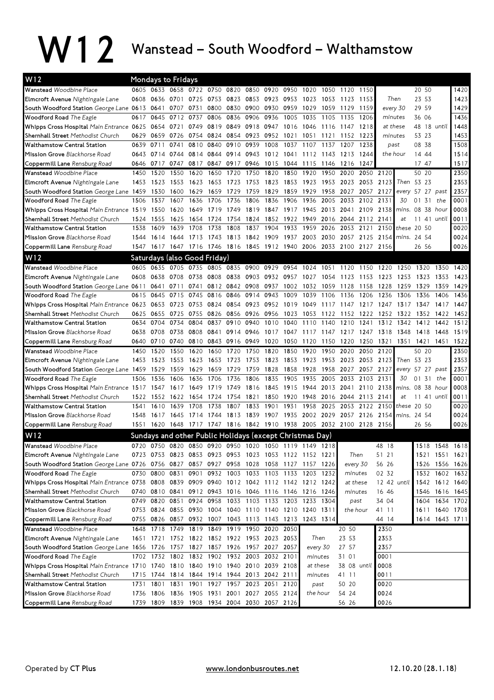## W12 Wanstead – South Woodford – Walthamstow

| W12                                                                                        |      |           | <b>Mondays to Fridays</b> |                                              |      |                        |           |                                                   |      |                                                          |                |                                                                       |              |              |                                              |                  |              |                |
|--------------------------------------------------------------------------------------------|------|-----------|---------------------------|----------------------------------------------|------|------------------------|-----------|---------------------------------------------------|------|----------------------------------------------------------|----------------|-----------------------------------------------------------------------|--------------|--------------|----------------------------------------------|------------------|--------------|----------------|
| Wanstead Woodbine Place                                                                    |      |           |                           | 0605 0633 0658 0722 0750                     |      |                        |           | 0820 0850 0920 0950                               |      | 1020                                                     | 1050           | 1120                                                                  | 1150         |              |                                              | 20 50            |              | 1420           |
| Elmcroft Avenue Nightingale Lane                                                           | 0608 | 0636      | 0701                      | 0725                                         | 0753 | 0823                   | 0853      | 0923 0953                                         |      | 1023                                                     | 1053           | 1123                                                                  | 1153         |              | Then                                         | 23 53            |              | 1423           |
| South Woodford Station George Lane 0613 0641 0707 0731                                     |      |           |                           |                                              |      |                        |           | 0800 0830 0900 0930 0959                          |      | 1029                                                     | 1059           | 1129                                                                  | 1159         |              | every 30                                     | 29 59            |              | 1429           |
| <b>Woodford Road</b> The Eagle                                                             | 0617 | 0645      | 0712 0737                 |                                              | 0806 | 0836 0906              |           | 0936                                              | 1005 | 1035                                                     | 1105           | 1135                                                                  | 1206         |              | minutes                                      | 36 06            |              | 1436           |
| Whipps Cross Hospital Main Entrance 0625                                                   |      | 0654      | 0721                      | 0749                                         |      | 0819 0849 0918         |           | 0947                                              | 1016 | 1046                                                     | 1116           | 1147                                                                  | 1218         |              | at these                                     | 48 18 until      |              | 1448           |
| Shernhall Street Methodist Church                                                          | 0629 | 0659      | 0726                      |                                              |      |                        |           | 0754 0824 0854 0923 0952 1021                     |      | 1051                                                     | 1121           | 1152                                                                  | 1223         |              | minutes                                      | 53 23            |              | 1453           |
| <b>Walthamstow Central Station</b>                                                         | 0639 | 0711      | 0741                      | 0810                                         | 0840 | 0910                   | 0939      | 1008                                              | 1037 |                                                          | 1107 1137 1207 |                                                                       | 1238         |              | past                                         | 08 38            |              | 1508           |
| Mission Grove Blackhorse Road                                                              | 0643 | 0714      | 0744                      | 0814                                         | 0844 | 0914                   | 0943      | 1012 1041                                         |      | 1112 1143                                                |                | 1213                                                                  | 1244         |              | the hour                                     | 14 44            |              | 1514           |
| Coppermill Lane Rensburg Road                                                              |      | 0646 0717 | 0747                      | 0817                                         |      | 0847 0917 0946         |           | 1015 1044                                         |      | 1115                                                     | 1146           | 1216                                                                  | 1247         |              |                                              | 17 47            |              | 1517           |
| Wanstead Woodbine Place                                                                    | 1450 | 1520      | 1550                      | 1620                                         | 1650 | 1720                   | 1750      | 1820                                              | 1850 | 1920                                                     | 1950           | 2020                                                                  | 2050         | 2120         |                                              | 50 20            |              | 2350           |
| Elmcroft Avenue Nightingale Lane                                                           | 1453 | 1523      | 1553                      | 1623                                         |      | 1653 1723              | 1753      | 1823 1853                                         |      | 1923                                                     |                | 1953 2023                                                             | 2053         | 2123         |                                              | Then 53 23       |              | 2353           |
| South Woodford Station George Lane 1459 1530                                               |      |           | 1600                      | 1629                                         | 1659 | 1729                   | 1759      | 1829                                              | 1859 | 1929                                                     | 1958           | 2027                                                                  | 2057         | 2127         | every                                        | 57 27 past       |              | 2357           |
| Woodford Road The Eagle                                                                    | 1506 | 1537      | 1607                      | 1636                                         | 1706 | 1736                   | 1806      | 1836                                              | 1906 | 1936                                                     | 2005           | 2033                                                                  | 2102         | 2131         | 30                                           | $0131$ the       |              | 0001           |
| Whipps Cross Hospital Main Entrance 1519 1550                                              |      |           | 1620                      | 1649                                         |      | 1719 1749              | 1819      | 1847 1917                                         |      | 1945                                                     |                | 2013 2041 2109                                                        |              | 2138         |                                              | mins. 08 38 hour |              | 0008           |
| Shernhall Street Methodist Church                                                          | 1524 | 1555      | 1625                      | 1654 1724                                    |      | 1754                   | 1824      | 1852 1922                                         |      | 1949                                                     |                | 2016 2044 2112                                                        |              | 2141         | at                                           | 11 41 until      |              | 0011           |
| <b>Walthamstow Central Station</b>                                                         | 1538 | 1609      | 1639                      | 1708                                         | 1738 | 1808                   | 1837      | 1904                                              | 1933 | 1959                                                     | 2026           | 2053                                                                  | 2121         | 2150         | 2154 mins. 24 54                             | these $20\,50$   |              | 0020           |
| Mission Grove Blackhorse Road                                                              | 1544 | 1614      | 1644                      | 1713                                         |      | 1743 1813              | 1842 1909 |                                                   | 1937 | 2003                                                     | 2030           | 2057<br>2033 2100                                                     | 2125         |              |                                              | 26 56            |              | 0024           |
| Coppermill Lane Rensburg Road                                                              |      |           |                           |                                              |      |                        |           | 1547 1617 1647 1716 1746 1816 1845 1912 1940 2006 |      |                                                          |                |                                                                       | 2127 2156    |              |                                              |                  |              | 0026           |
| W12                                                                                        |      |           |                           | Saturdays (also Good Friday)                 |      |                        |           |                                                   |      |                                                          |                |                                                                       |              |              |                                              |                  |              |                |
| Wanstead Woodbine Place                                                                    |      |           |                           |                                              |      |                        |           |                                                   |      |                                                          |                | 0605 0635 0705 0735 0805 0835 0900 0929 0954 1024 1051 1120 1150 1220 |              |              | 1250 1320                                    |                  | 1350         | 1420           |
| Elmcroft Avenue Nightingale Lane                                                           | 0608 | 0638      | 0708                      | 0738                                         | 0808 | 0838                   |           |                                                   |      |                                                          |                |                                                                       |              |              | 0903 0932 0957 1027 1054 1123 1153 1223 1253 | 1323             | 1353         | 1423           |
| South Woodford Station George Lane 0611                                                    |      | 0641      | 0711                      | 0741                                         |      | 0812 0842 0908         |           | 0937 1002                                         |      | 1032 1059 1128                                           |                |                                                                       | 1158         | 1228         | 1259                                         | 1329             | 1359         | 1429           |
| Woodford Road The Eagle                                                                    | 0615 | 0645      | 0715                      | 0745                                         |      | 0816 0846              | 0914      | 0943 1009                                         |      | 1039                                                     | 1106           | 1136                                                                  | 1206         | 1236         | 1306                                         | 1336             | 1406         | 1436<br>1447   |
| Whipps Cross Hospital Main Entrance 0623<br>Shernhall Street Methodist Church              | 0625 | 0655      | 0653 0723<br>0725         | 0753<br>0755                                 |      | 0824 0854 0923         |           | 0952 1019                                         | 1023 | 1049<br>1053                                             |                | 1117 1147 1217 1247                                                   |              |              | 1317 1347                                    | 1352             | 1417         | 1452           |
| <b>Walthamstow Central Station</b>                                                         | 0634 | 0704      | 0734                      | 0804                                         | 0837 | 0826 0856 0926<br>0910 | 0940      | 0956<br>1010 1040                                 |      | 1110                                                     | 1122<br>1140   | 1152<br>1210                                                          | 1222<br>1241 | 1252<br>1312 | 1322<br>1342                                 | 1412             | 1422<br>1442 | 1512           |
| Mission Grove Blackhorse Road                                                              | 0638 | 0708      | 0738                      | 0808                                         | 0841 | 0914                   | 0946      | 1017 1047                                         |      | 1117                                                     | 1147           | 1217                                                                  | 1247         | 1318         | 1348                                         | 1418             | 1448         | 1519           |
| Coppermill Lane Rensburg Road                                                              |      |           |                           | 0640 0710 0740 0810 0843 0916 0949           |      |                        |           | 1020 1050                                         |      | 1120                                                     | 1150           | 1220                                                                  | 1250         | 1321         | 1351                                         | 1421 1451        |              | 1522           |
| Wanstead Woodbine Place                                                                    | 1450 | 1520      | 1550                      | 1620                                         | 1650 | 1720                   | 1750      | 1820                                              | 1850 | 1920                                                     | 1950           | 2020                                                                  | 2050         | 2120         |                                              | 50 20            |              | 2350           |
| Elmcroft Avenue Nightingale Lane                                                           | 1453 | 1523      | 1553                      | 1623                                         | 1653 | 1723                   | 1753      | 1823 1853                                         |      | 1923                                                     |                | 1953 2023                                                             | 2053         | 2123         |                                              | Then 53 23       |              | 2353           |
| South Woodford Station George Lane 1459 1529                                               |      |           | 1559                      | 1629                                         | 1659 | 1729                   | 1759      | 1828                                              | 1858 | 1928                                                     | 1958           | 2027                                                                  |              | 2057 2127    |                                              | every 57 27 past |              | 2357           |
| <b>Woodford Road</b> The Eagle                                                             | 1506 | 1536      | 1606                      | 1636                                         | 1706 | 1736                   | 1806      | 1835                                              | 1905 | 1935                                                     | 2005           | 2033                                                                  | 2103         | 2131         | 30                                           | 01               | 31 the       | 0001           |
| Whipps Cross Hospital Main Entrance 1517                                                   |      | 1547      | 1617                      | 1649                                         | 1719 | 1749                   | 1816      | 1845                                              | 1915 | 1944                                                     |                | 2013 2041                                                             | 2110         | 2138         | mins. 08                                     |                  | 38 hour      | 0008           |
| Shernhall Street Methodist Church                                                          | 1522 | 1552      | 1622                      | 1654                                         | 1724 | 1754                   | 1821      | 1850                                              | 1920 | 1948                                                     | 2016           | 2044                                                                  | 2113         | 2141         | at                                           | 11               | 41 until     | 0011           |
| Walthamstow Central Station                                                                | 1541 | 1610      | 1639                      | 1708                                         | 1738 | 1807                   | 1833      | 1901                                              | 1931 | 1958                                                     | 2025           | 2053                                                                  | 2122         |              | 2150 these                                   | 20 50            |              | 0020           |
| Mission Grove Blackhorse Road                                                              | 1548 | 1617      | 1645                      | 1714 1744                                    |      | 1813                   | 1839      | 1907 1935                                         |      |                                                          |                | 2002 2029 2057 2126                                                   |              |              | 2154 mins. 24 54                             |                  |              | 0024           |
| Coppermill Lane Rensburg Road                                                              |      |           |                           |                                              |      |                        |           |                                                   |      |                                                          |                | 1551 1620 1648 1717 1747 1816 1842 1910 1938 2005 2032 2100 2128 2156 |              |              |                                              | 26 56            |              | 0026           |
| W12                                                                                        |      |           |                           |                                              |      |                        |           |                                                   |      | Sundays and other Public Holidays (except Christmas Day) |                |                                                                       |              |              |                                              |                  |              |                |
| Wanstead Woodbine Place                                                                    |      |           |                           |                                              |      |                        |           |                                                   |      | 0720 0750 0820 0850 0920 0950 1020 1050 1119 1149 1218   |                |                                                                       |              | 48 18        |                                              | 1518 1548 1618   |              |                |
| Elmcroft Avenue Nightingale Lane                                                           |      |           |                           |                                              |      |                        |           |                                                   |      | 0723 0753 0823 0853 0923 0953 1023 1053 1122 1152 1221   |                | Then                                                                  |              | 51 21        |                                              |                  |              | 1521 1551 1621 |
| South Woodford Station George Lane 0726 0756 0827 0857 0927 0958 1028 1058 1127 1157 1226  |      |           |                           |                                              |      |                        |           |                                                   |      |                                                          |                | every 30                                                              |              | 56 26        |                                              |                  |              | 1526 1556 1626 |
| Woodford Road The Eagle                                                                    |      |           | 0730 0800 0831            | 0901                                         |      |                        |           |                                                   |      | 0932 1003 1033 1103 1133 1203 1232                       |                | minutes                                                               |              | 02 32        |                                              |                  |              | 1532 1602 1632 |
| Whipps Cross Hospital Main Entrance 0738 0808 0839 0909 0940 1012 1042 1112 1142 1212 1242 |      |           |                           |                                              |      |                        |           |                                                   |      |                                                          |                | at these                                                              |              |              | 12 42 until                                  |                  |              | 1542 1612 1640 |
| Shernhall Street Methodist Church                                                          |      |           |                           |                                              |      |                        |           |                                                   |      | 0740 0810 0841 0912 0943 1016 1046 1116 1146 1216 1246   |                | minutes                                                               |              | 16 46        |                                              | 1546             |              | 1616 1645      |
| <b>Walthamstow Central Station</b>                                                         |      |           |                           |                                              |      |                        |           |                                                   |      | 0749 0820 0851 0924 0958 1033 1103 1133 1203 1233 1304   |                |                                                                       | past         | 34 04        |                                              |                  |              | 1604 1634 1702 |
| Mission Grove Blackhorse Road                                                              |      |           |                           |                                              |      |                        |           |                                                   |      | 0753 0824 0855 0930 1004 1040 1110 1140 1210 1240 1311   |                |                                                                       | the hour     | 41 11        |                                              |                  |              | 1611 1640 1708 |
| Coppermill Lane Rensburg Road                                                              |      |           |                           |                                              |      |                        |           |                                                   |      | 0755 0826 0857 0932 1007 1043 1113 1143 1213 1243 1314   |                |                                                                       |              | 44 14        |                                              |                  |              | 1614 1643 1711 |
| Wanstead Woodbine Place                                                                    |      |           |                           |                                              |      |                        |           | 1648 1718 1749 1819 1849 1919 1950 2020 2050      |      |                                                          |                | 20 50                                                                 |              | 2350         |                                              |                  |              |                |
| Elmcroft Avenue Nightingale Lane                                                           |      |           |                           |                                              |      |                        |           | 1651 1721 1752 1822 1852 1922 1953 2023 2053      |      |                                                          | Then           | 23 53                                                                 |              | 2353         |                                              |                  |              |                |
| South Woodford Station George Lane 1656 1726 1757 1827 1857 1926 1957 2027 2057            |      |           |                           |                                              |      |                        |           |                                                   |      | every 30                                                 |                | 27 57                                                                 |              | 2357         |                                              |                  |              |                |
| Woodford Road The Eagle                                                                    |      |           |                           |                                              |      |                        |           | 1702 1732 1802 1832 1902 1932 2003 2032 2101      |      | minutes                                                  |                | 31 01                                                                 |              | 0001         |                                              |                  |              |                |
| Whipps Cross Hospital Main Entrance 1710 1740 1810 1840 1910 1940 2010 2039 2108           |      |           |                           |                                              |      |                        |           |                                                   |      | at these                                                 |                | 38 08 until                                                           |              | 0008         |                                              |                  |              |                |
| Shernhall Street Methodist Church                                                          |      |           |                           |                                              |      |                        |           | 1715 1744 1814 1844 1914 1944 2013 2042 2111      |      | minutes                                                  |                | 41 11                                                                 |              | 0011         |                                              |                  |              |                |
| Walthamstow Central Station                                                                |      | 1731 1801 |                           |                                              |      |                        |           | 1831 1901 1927 1957 2023 2051 2120                |      | past                                                     |                | 50 20                                                                 |              | 0020         |                                              |                  |              |                |
| Mission Grove Blackhorse Road                                                              |      |           |                           |                                              |      |                        |           | 1736 1806 1836 1905 1931 2001 2027 2055 2124      |      | the hour                                                 |                | 54 24                                                                 |              | 0024         |                                              |                  |              |                |
| Coppermill Lane Rensburg Road                                                              |      |           |                           | 1739 1809 1839 1908 1934 2004 2030 2057 2126 |      |                        |           |                                                   |      |                                                          |                | 56 26                                                                 |              | 0026         |                                              |                  |              |                |